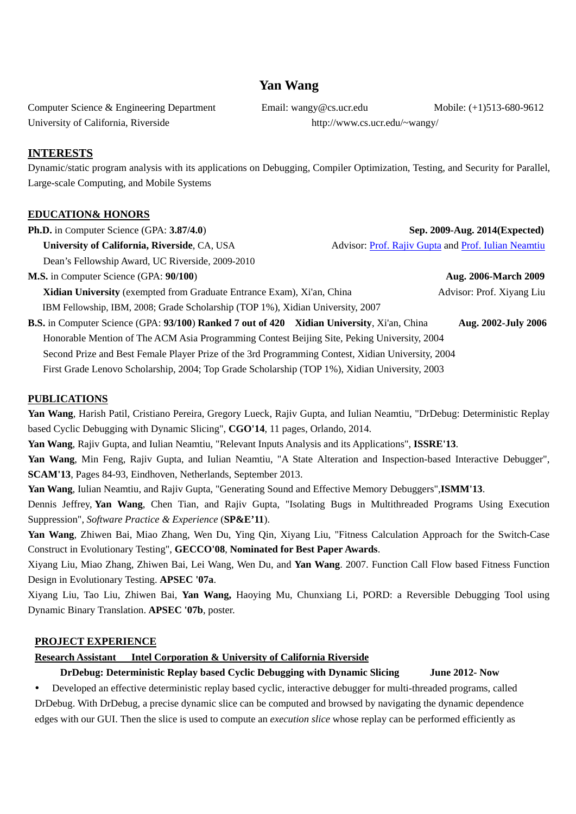# **Yan Wang**

Computer Science & Engineering Department Email: wangy@cs.ucr.edu Mobile: (+1)513-680-9612 University of California, Riverside http://www.cs.ucr.edu/~wangy/

**INTERESTS** 

Dynamic/static program analysis with its applications on Debugging, Compiler Optimization, Testing, and Security for Parallel, Large-scale Computing, and Mobile Systems

## **EDUCATION& HONORS**

| Ph.D. in Computer Science (GPA: 3.87/4.0)                                                                 |  | Sep. 2009-Aug. 2014(Expected)                       |
|-----------------------------------------------------------------------------------------------------------|--|-----------------------------------------------------|
| University of California, Riverside, CA, USA                                                              |  | Advisor: Prof. Rajiv Gupta and Prof. Iulian Neamtiu |
| Dean's Fellowship Award, UC Riverside, 2009-2010                                                          |  |                                                     |
| M.S. in Computer Science (GPA: 90/100)                                                                    |  | Aug. 2006-March 2009                                |
| <b>Xidian University</b> (exempted from Graduate Entrance Exam), Xi'an, China                             |  | Advisor: Prof. Xiyang Liu                           |
| IBM Fellowship, IBM, 2008; Grade Scholarship (TOP 1%), Xidian University, 2007                            |  |                                                     |
| <b>B.S.</b> in Computer Science (GPA: 93/100) <b>Ranked 7 out of 420 Xidian University</b> , Xi'an, China |  | Aug. 2002-July 2006                                 |
| Honorable Mention of The ACM Asia Programming Contest Beijing Site, Peking University, 2004               |  |                                                     |
| Second Prize and Best Female Player Prize of the 3rd Programming Contest, Xidian University, 2004         |  |                                                     |
| First Grade Lenovo Scholarship, 2004; Top Grade Scholarship (TOP 1%), Xidian University, 2003             |  |                                                     |

## **PUBLICATIONS**

**Yan Wang**, Harish Patil, Cristiano Pereira, Gregory Lueck, Rajiv Gupta, and Iulian Neamtiu, "DrDebug: Deterministic Replay based Cyclic Debugging with Dynamic Slicing", **CGO'14**, 11 pages, Orlando, 2014.

**Yan Wang**, Rajiv Gupta, and Iulian Neamtiu, "Relevant Inputs Analysis and its Applications", **ISSRE'13**.

**Yan Wang**, Min Feng, Rajiv Gupta, and Iulian Neamtiu, "A State Alteration and Inspection-based Interactive Debugger", **SCAM'13**, Pages 84-93, Eindhoven, Netherlands, September 2013.

**Yan Wang**, Iulian Neamtiu, and Rajiv Gupta, "Generating Sound and Effective Memory Debuggers",**ISMM'13**. Dennis Jeffrey, **Yan Wang**, Chen Tian, and Rajiv Gupta, "Isolating Bugs in Multithreaded Programs Using Execution Suppression", *Software Practice & Experience* (**SP&E'11**).

**Yan Wang**, Zhiwen Bai, Miao Zhang, Wen Du, Ying Qin, Xiyang Liu, "Fitness Calculation Approach for the Switch-Case Construct in Evolutionary Testing", **GECCO'08**, **Nominated for Best Paper Awards**.

Xiyang Liu, Miao Zhang, Zhiwen Bai, Lei Wang, Wen Du, and **Yan Wang**. 2007. Function Call Flow based Fitness Function Design in Evolutionary Testing. **APSEC '07a**.

Xiyang Liu, Tao Liu, Zhiwen Bai, **Yan Wang,** Haoying Mu, Chunxiang Li, PORD: a Reversible Debugging Tool using Dynamic Binary Translation. **APSEC '07b**, poster.

## **PROJECT EXPERIENCE**

### **Research Assistant Intel Corporation & University of California Riverside**

## **DrDebug: Deterministic Replay based Cyclic Debugging with Dynamic Slicing June 2012- Now**

y Developed an effective deterministic replay based cyclic, interactive debugger for multi-threaded programs, called DrDebug. With DrDebug, a precise dynamic slice can be computed and browsed by navigating the dynamic dependence edges with our GUI. Then the slice is used to compute an *execution slice* whose replay can be performed efficiently as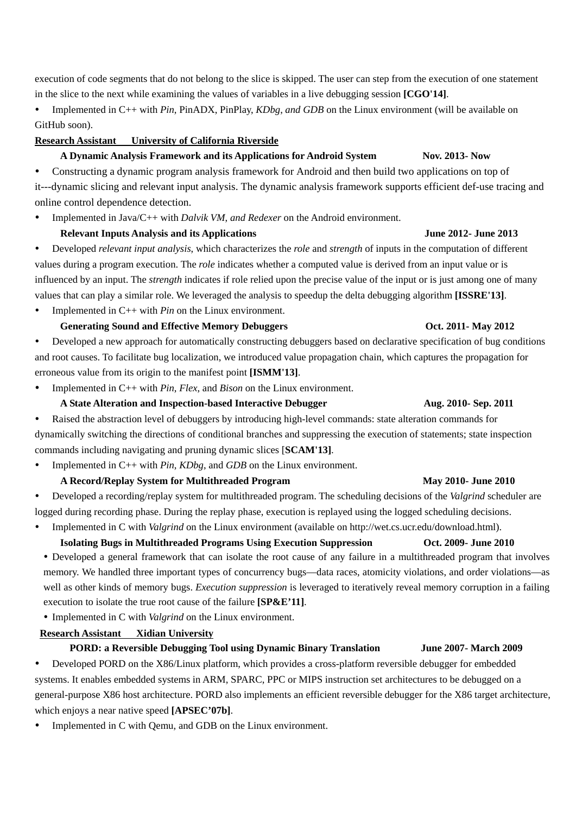execution of code segments that do not belong to the slice is skipped. The user can step from the execution of one statement in the slice to the next while examining the values of variables in a live debugging session **[CGO'14]**.

y Implemented in C++ with *Pin*, PinADX, PinPlay, *KDbg*, *and GDB* on the Linux environment (will be available on GitHub soon).

## **Research Assistant University of California Riverside**

## A Dynamic Analysis Framework and its Applications for Android System Nov. 2013- Now

Constructing a dynamic program analysis framework for Android and then build two applications on top of it---dynamic slicing and relevant input analysis. The dynamic analysis framework supports efficient def-use tracing and online control dependence detection.

Implemented in Java/C++ with *Dalvik VM*, *and Redexer* on the Android environment.

# **Relevant Inputs Analysis and its Applications June 2012- June 2013**

y Developed *relevant input analysis*, which characterizes the *role* and *strength* of inputs in the computation of different values during a program execution. The *role* indicates whether a computed value is derived from an input value or is influenced by an input. The *strength* indicates if role relied upon the precise value of the input or is just among one of many values that can play a similar role. We leveraged the analysis to speedup the delta debugging algorithm **[ISSRE'13]**.

Implemented in C++ with *Pin* on the Linux environment.

## **Generating Sound and Effective Memory Debuggers Oct. 2011- May 2012** Developed a new approach for automatically constructing debuggers based on declarative specification of bug conditions and root causes. To facilitate bug localization, we introduced value propagation chain, which captures the propagation for erroneous value from its origin to the manifest point **[ISMM'13]**.

Implemented in C++ with *Pin*, *Flex*, and *Bison* on the Linux environment.

# **A State Alteration and Inspection-based Interactive Debugger Aug. 2010- Sep. 2011**

• Raised the abstraction level of debuggers by introducing high-level commands: state alteration commands for dynamically switching the directions of conditional branches and suppressing the execution of statements; state inspection commands including navigating and pruning dynamic slices [**SCAM'13]**.

Implemented in C++ with *Pin*, *KDbg*, and *GDB* on the Linux environment.

# A Record/Replay System for Multithreaded Program May 2010- June 2010

Developed a recording/replay system for multithreaded program. The scheduling decisions of the *Valgrind* scheduler are logged during recording phase. During the replay phase, execution is replayed using the logged scheduling decisions.

Implemented in C with *Valgrind* on the Linux environment (available on http://wet.cs.ucr.edu/download.html).

 **Isolating Bugs in Multithreaded Programs Using Execution Suppression Oct. 2009- June 2010** • Developed a general framework that can isolate the root cause of any failure in a multithreaded program that involves memory. We handled three important types of concurrency bugs—data races, atomicity violations, and order violations—as well as other kinds of memory bugs. *Execution suppression* is leveraged to iteratively reveal memory corruption in a failing execution to isolate the true root cause of the failure **[SP&E'11]**.

• Implemented in C with *Valgrind* on the Linux environment.

# **Research Assistant Xidian University**

# **PORD: a Reversible Debugging Tool using Dynamic Binary Translation June 2007- March 2009**

Developed PORD on the X86/Linux platform, which provides a cross-platform reversible debugger for embedded systems. It enables embedded systems in ARM, SPARC, PPC or MIPS instruction set architectures to be debugged on a general-purpose X86 host architecture. PORD also implements an efficient reversible debugger for the X86 target architecture, which enjoys a near native speed **[APSEC'07b]**.

Implemented in C with Qemu, and GDB on the Linux environment.